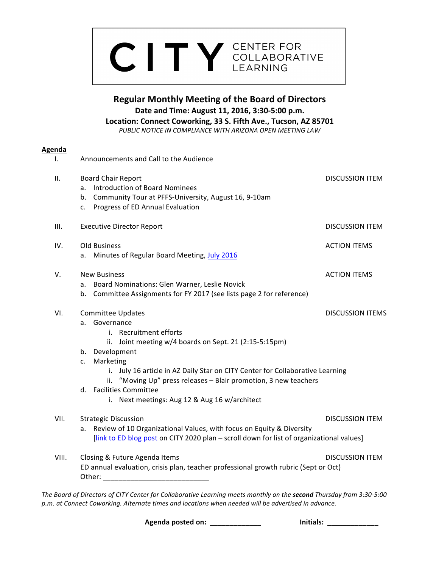# CITY CENTER FOR COLLABORATIVE

**Regular Monthly Meeting of the Board of Directors Date and Time: August 11, 2016, 3:30-5:00 p.m.** Location: Connect Coworking, 33 S. Fifth Ave., Tucson, AZ 85701 PUBLIC NOTICE IN COMPLIANCE WITH ARIZONA OPEN MEETING LAW

Ag

Other:  $\Box$ 

| <u>enda</u> |                                                                                                                                                                                                                                                                                                                                                                                                     |                         |
|-------------|-----------------------------------------------------------------------------------------------------------------------------------------------------------------------------------------------------------------------------------------------------------------------------------------------------------------------------------------------------------------------------------------------------|-------------------------|
| Ι.          | Announcements and Call to the Audience                                                                                                                                                                                                                                                                                                                                                              |                         |
| ΙΙ.         | <b>Board Chair Report</b><br>a. Introduction of Board Nominees<br>b. Community Tour at PFFS-University, August 16, 9-10am<br>c. Progress of ED Annual Evaluation                                                                                                                                                                                                                                    | <b>DISCUSSION ITEM</b>  |
| III.        | <b>Executive Director Report</b>                                                                                                                                                                                                                                                                                                                                                                    | <b>DISCUSSION ITEM</b>  |
| IV.         | Old Business<br>Minutes of Regular Board Meeting, July 2016<br>а.                                                                                                                                                                                                                                                                                                                                   | <b>ACTION ITEMS</b>     |
| V.          | <b>New Business</b><br>a. Board Nominations: Glen Warner, Leslie Novick<br>b. Committee Assignments for FY 2017 (see lists page 2 for reference)                                                                                                                                                                                                                                                    | <b>ACTION ITEMS</b>     |
| VI.         | <b>Committee Updates</b><br>a. Governance<br>i. Recruitment efforts<br>ii. Joint meeting w/4 boards on Sept. 21 (2:15-5:15pm)<br>b. Development<br>Marketing<br>C.<br>i. July 16 article in AZ Daily Star on CITY Center for Collaborative Learning<br>ii. "Moving Up" press releases - Blair promotion, 3 new teachers<br>d. Facilities Committee<br>i. Next meetings: Aug 12 & Aug 16 w/architect | <b>DISCUSSION ITEMS</b> |
| VII.        | <b>Strategic Discussion</b><br>Review of 10 Organizational Values, with focus on Equity & Diversity<br>a.<br>[link to ED blog post on CITY 2020 plan - scroll down for list of organizational values]                                                                                                                                                                                               | <b>DISCUSSION ITEM</b>  |
| VIII.       | Closing & Future Agenda Items<br>ED annual evaluation, crisis plan, teacher professional growth rubric (Sept or Oct)                                                                                                                                                                                                                                                                                | <b>DISCUSSION ITEM</b>  |

*The Board of Directors of CITY Center for Collaborative Learning meets monthly on the second Thursday from 3:30-5:00* p.m. at Connect Coworking. Alternate times and locations when needed will be advertised in advance.

**Agenda posted on: \_\_\_\_\_\_\_\_\_\_\_\_\_ Initials: \_\_\_\_\_\_\_\_\_\_\_\_\_**